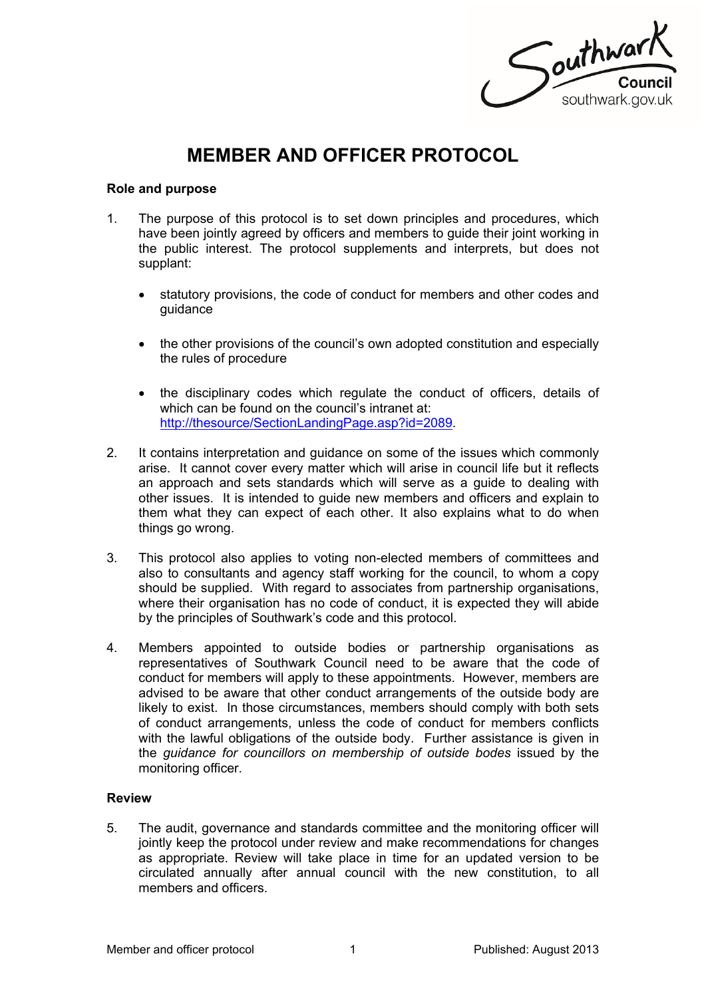Southwark southwark.gov.uk

# **MEMBER AND OFFICER PROTOCOL**

#### **Role and purpose**

- 1. The purpose of this protocol is to set down principles and procedures, which have been jointly agreed by officers and members to guide their joint working in the public interest. The protocol supplements and interprets, but does not supplant:
	- statutory provisions, the code of conduct for members and other codes and guidance
	- the other provisions of the council's own adopted constitution and especially the rules of procedure
	- the disciplinary codes which regulate the conduct of officers, details of which can be found on the council's intranet at: [http://thesource/SectionLandingPage.asp?id=2089.](http://thesource/SectionLandingPage.asp?id=2089)
- 2. It contains interpretation and guidance on some of the issues which commonly arise. It cannot cover every matter which will arise in council life but it reflects an approach and sets standards which will serve as a guide to dealing with other issues. It is intended to guide new members and officers and explain to them what they can expect of each other. It also explains what to do when things go wrong.
- 3. This protocol also applies to voting non-elected members of committees and also to consultants and agency staff working for the council, to whom a copy should be supplied. With regard to associates from partnership organisations, where their organisation has no code of conduct, it is expected they will abide by the principles of Southwark's code and this protocol.
- 4. Members appointed to outside bodies or partnership organisations as representatives of Southwark Council need to be aware that the code of conduct for members will apply to these appointments. However, members are advised to be aware that other conduct arrangements of the outside body are likely to exist. In those circumstances, members should comply with both sets of conduct arrangements, unless the code of conduct for members conflicts with the lawful obligations of the outside body. Further assistance is given in the *guidance for councillors on membership of outside bodes* issued by the monitoring officer.

# **Review**

5. The audit, governance and standards committee and the monitoring officer will jointly keep the protocol under review and make recommendations for changes as appropriate. Review will take place in time for an updated version to be circulated annually after annual council with the new constitution, to all members and officers.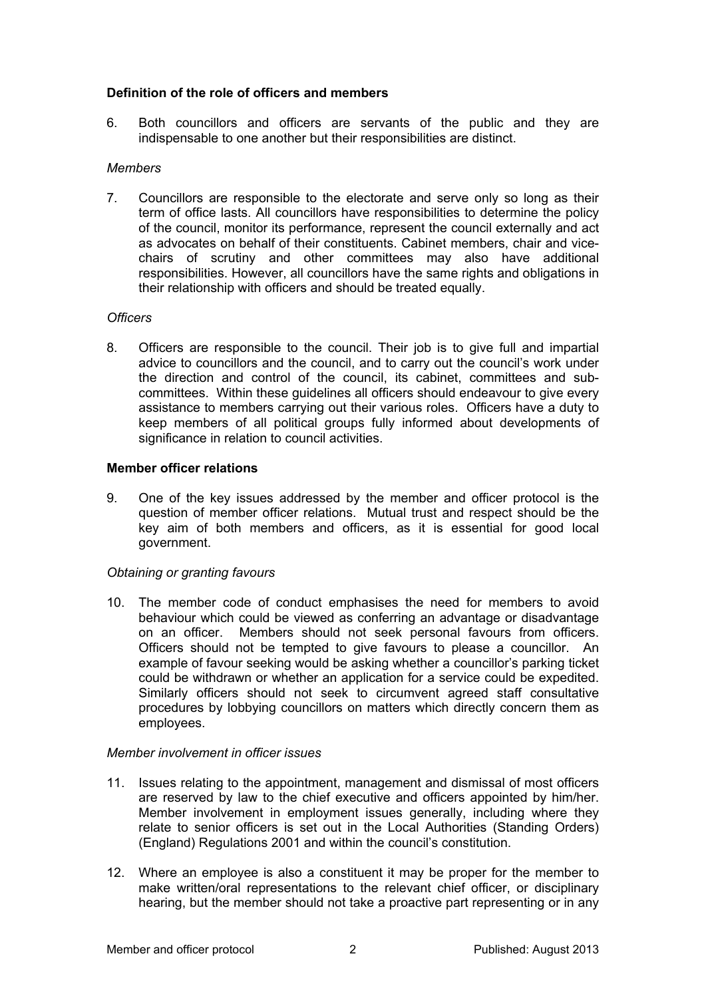## **Definition of the role of officers and members**

6. Both councillors and officers are servants of the public and they are indispensable to one another but their responsibilities are distinct.

#### *Members*

7. Councillors are responsible to the electorate and serve only so long as their term of office lasts. All councillors have responsibilities to determine the policy of the council, monitor its performance, represent the council externally and act as advocates on behalf of their constituents. Cabinet members, chair and vicechairs of scrutiny and other committees may also have additional responsibilities. However, all councillors have the same rights and obligations in their relationship with officers and should be treated equally.

## *Officers*

8. Officers are responsible to the council. Their job is to give full and impartial advice to councillors and the council, and to carry out the council's work under the direction and control of the council, its cabinet, committees and subcommittees. Within these guidelines all officers should endeavour to give every assistance to members carrying out their various roles. Officers have a duty to keep members of all political groups fully informed about developments of significance in relation to council activities.

## **Member officer relations**

9. One of the key issues addressed by the member and officer protocol is the question of member officer relations. Mutual trust and respect should be the key aim of both members and officers, as it is essential for good local government.

# *Obtaining or granting favours*

10. The member code of conduct emphasises the need for members to avoid behaviour which could be viewed as conferring an advantage or disadvantage on an officer. Members should not seek personal favours from officers. Officers should not be tempted to give favours to please a councillor. An example of favour seeking would be asking whether a councillor's parking ticket could be withdrawn or whether an application for a service could be expedited. Similarly officers should not seek to circumvent agreed staff consultative procedures by lobbying councillors on matters which directly concern them as employees.

#### *Member involvement in officer issues*

- 11. Issues relating to the appointment, management and dismissal of most officers are reserved by law to the chief executive and officers appointed by him/her. Member involvement in employment issues generally, including where they relate to senior officers is set out in the Local Authorities (Standing Orders) (England) Regulations 2001 and within the council's constitution.
- 12. Where an employee is also a constituent it may be proper for the member to make written/oral representations to the relevant chief officer, or disciplinary hearing, but the member should not take a proactive part representing or in any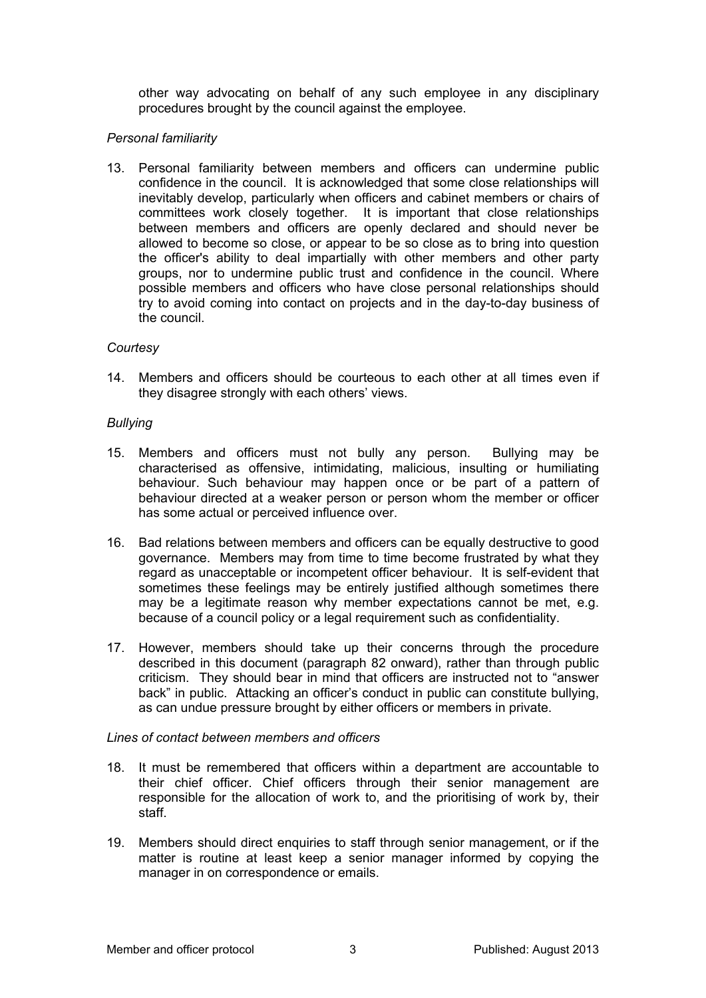other way advocating on behalf of any such employee in any disciplinary procedures brought by the council against the employee.

## *Personal familiarity*

13. Personal familiarity between members and officers can undermine public confidence in the council. It is acknowledged that some close relationships will inevitably develop, particularly when officers and cabinet members or chairs of committees work closely together. It is important that close relationships between members and officers are openly declared and should never be allowed to become so close, or appear to be so close as to bring into question the officer's ability to deal impartially with other members and other party groups, nor to undermine public trust and confidence in the council. Where possible members and officers who have close personal relationships should try to avoid coming into contact on projects and in the day-to-day business of the council.

#### *Courtesy*

14. Members and officers should be courteous to each other at all times even if they disagree strongly with each others' views.

#### *Bullying*

- 15. Members and officers must not bully any person. Bullying may be characterised as offensive, intimidating, malicious, insulting or humiliating behaviour. Such behaviour may happen once or be part of a pattern of behaviour directed at a weaker person or person whom the member or officer has some actual or perceived influence over.
- 16. Bad relations between members and officers can be equally destructive to good governance. Members may from time to time become frustrated by what they regard as unacceptable or incompetent officer behaviour. It is self-evident that sometimes these feelings may be entirely justified although sometimes there may be a legitimate reason why member expectations cannot be met, e.g. because of a council policy or a legal requirement such as confidentiality.
- 17. However, members should take up their concerns through the procedure described in this document (paragraph 82 onward), rather than through public criticism. They should bear in mind that officers are instructed not to "answer back" in public. Attacking an officer's conduct in public can constitute bullying, as can undue pressure brought by either officers or members in private.

# *Lines of contact between members and officers*

- 18. It must be remembered that officers within a department are accountable to their chief officer. Chief officers through their senior management are responsible for the allocation of work to, and the prioritising of work by, their staff.
- 19. Members should direct enquiries to staff through senior management, or if the matter is routine at least keep a senior manager informed by copying the manager in on correspondence or emails.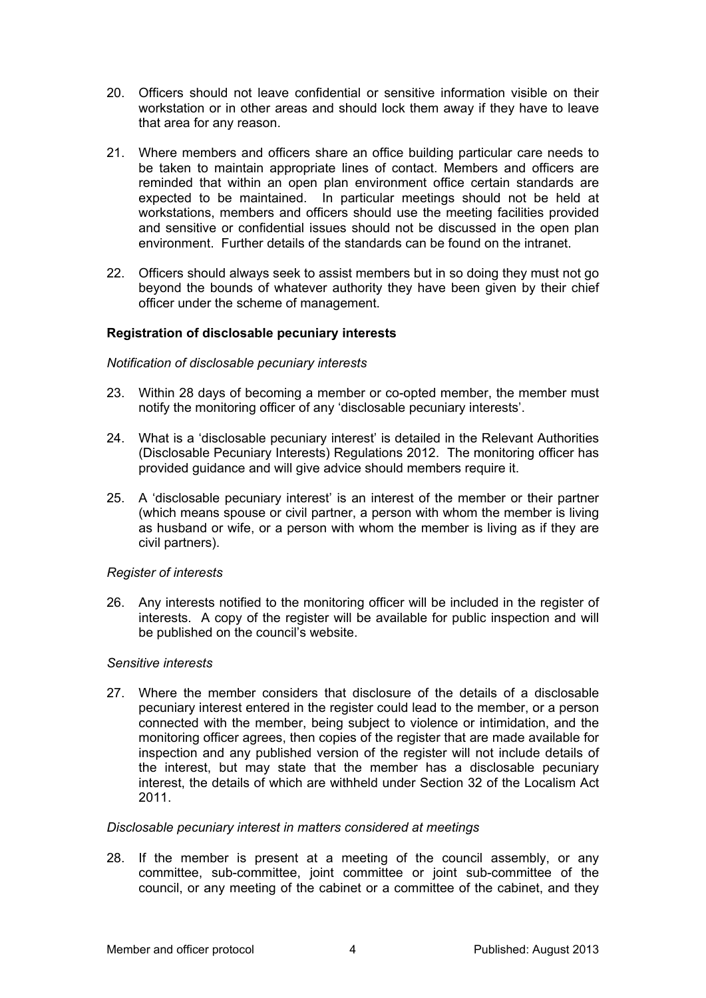- 20. Officers should not leave confidential or sensitive information visible on their workstation or in other areas and should lock them away if they have to leave that area for any reason.
- 21. Where members and officers share an office building particular care needs to be taken to maintain appropriate lines of contact. Members and officers are reminded that within an open plan environment office certain standards are expected to be maintained. In particular meetings should not be held at workstations, members and officers should use the meeting facilities provided and sensitive or confidential issues should not be discussed in the open plan environment. Further details of the standards can be found on the intranet.
- 22. Officers should always seek to assist members but in so doing they must not go beyond the bounds of whatever authority they have been given by their chief officer under the scheme of management.

## **Registration of disclosable pecuniary interests**

#### *Notification of disclosable pecuniary interests*

- 23. Within 28 days of becoming a member or co-opted member, the member must notify the monitoring officer of any 'disclosable pecuniary interests'.
- 24. What is a 'disclosable pecuniary interest' is detailed in the Relevant Authorities (Disclosable Pecuniary Interests) Regulations 2012. The monitoring officer has provided guidance and will give advice should members require it.
- 25. A 'disclosable pecuniary interest' is an interest of the member or their partner (which means spouse or civil partner, a person with whom the member is living as husband or wife, or a person with whom the member is living as if they are civil partners).

#### *Register of interests*

26. Any interests notified to the monitoring officer will be included in the register of interests. A copy of the register will be available for public inspection and will be published on the council's website.

#### *Sensitive interests*

27. Where the member considers that disclosure of the details of a disclosable pecuniary interest entered in the register could lead to the member, or a person connected with the member, being subject to violence or intimidation, and the monitoring officer agrees, then copies of the register that are made available for inspection and any published version of the register will not include details of the interest, but may state that the member has a disclosable pecuniary interest, the details of which are withheld under Section 32 of the Localism Act 2011.

#### *Disclosable pecuniary interest in matters considered at meetings*

28. If the member is present at a meeting of the council assembly, or any committee, sub-committee, joint committee or joint sub-committee of the council, or any meeting of the cabinet or a committee of the cabinet, and they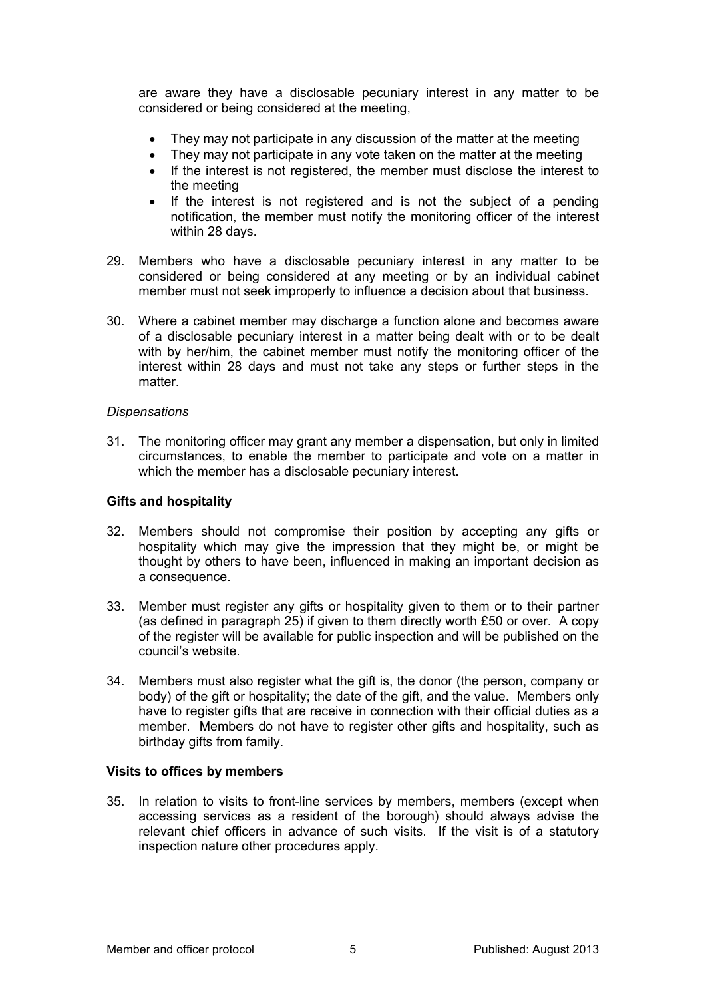are aware they have a disclosable pecuniary interest in any matter to be considered or being considered at the meeting,

- They may not participate in any discussion of the matter at the meeting
- They may not participate in any vote taken on the matter at the meeting
- If the interest is not registered, the member must disclose the interest to the meeting
- If the interest is not registered and is not the subject of a pending notification, the member must notify the monitoring officer of the interest within 28 days.
- 29. Members who have a disclosable pecuniary interest in any matter to be considered or being considered at any meeting or by an individual cabinet member must not seek improperly to influence a decision about that business.
- 30. Where a cabinet member may discharge a function alone and becomes aware of a disclosable pecuniary interest in a matter being dealt with or to be dealt with by her/him, the cabinet member must notify the monitoring officer of the interest within 28 days and must not take any steps or further steps in the matter.

#### *Dispensations*

31. The monitoring officer may grant any member a dispensation, but only in limited circumstances, to enable the member to participate and vote on a matter in which the member has a disclosable pecuniary interest.

#### **Gifts and hospitality**

- 32. Members should not compromise their position by accepting any gifts or hospitality which may give the impression that they might be, or might be thought by others to have been, influenced in making an important decision as a consequence.
- 33. Member must register any gifts or hospitality given to them or to their partner (as defined in paragraph 25) if given to them directly worth £50 or over. A copy of the register will be available for public inspection and will be published on the council's website.
- 34. Members must also register what the gift is, the donor (the person, company or body) of the gift or hospitality; the date of the gift, and the value. Members only have to register gifts that are receive in connection with their official duties as a member. Members do not have to register other gifts and hospitality, such as birthday gifts from family.

#### **Visits to offices by members**

35. In relation to visits to front-line services by members, members (except when accessing services as a resident of the borough) should always advise the relevant chief officers in advance of such visits. If the visit is of a statutory inspection nature other procedures apply.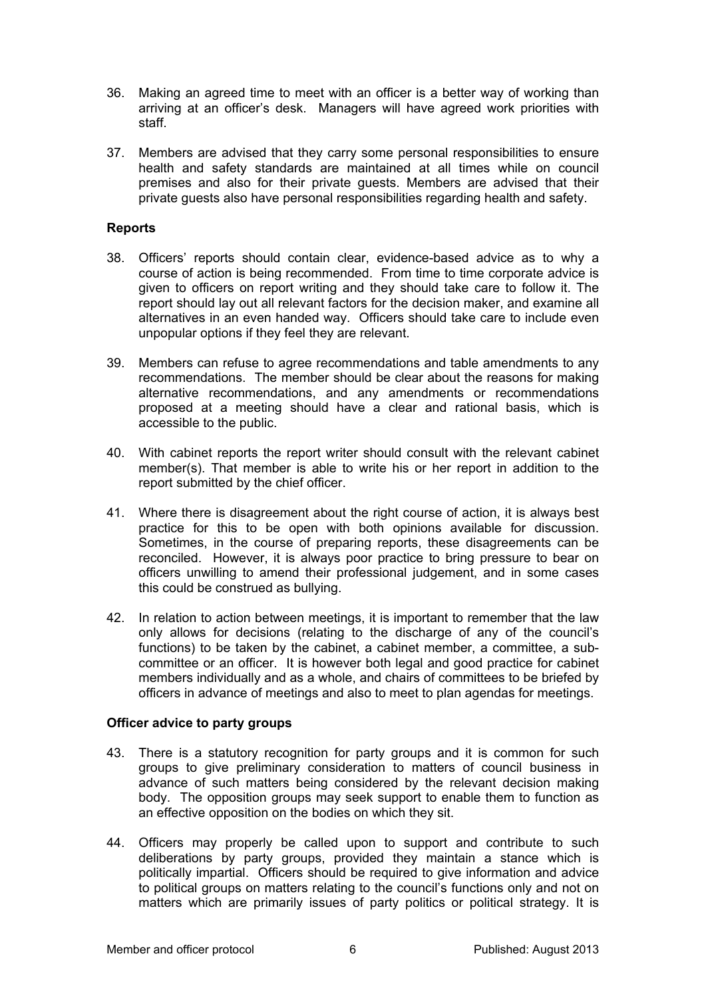- 36. Making an agreed time to meet with an officer is a better way of working than arriving at an officer's desk. Managers will have agreed work priorities with staff.
- 37. Members are advised that they carry some personal responsibilities to ensure health and safety standards are maintained at all times while on council premises and also for their private guests. Members are advised that their private guests also have personal responsibilities regarding health and safety.

## **Reports**

- 38. Officers' reports should contain clear, evidence-based advice as to why a course of action is being recommended. From time to time corporate advice is given to officers on report writing and they should take care to follow it. The report should lay out all relevant factors for the decision maker, and examine all alternatives in an even handed way. Officers should take care to include even unpopular options if they feel they are relevant.
- 39. Members can refuse to agree recommendations and table amendments to any recommendations. The member should be clear about the reasons for making alternative recommendations, and any amendments or recommendations proposed at a meeting should have a clear and rational basis, which is accessible to the public.
- 40. With cabinet reports the report writer should consult with the relevant cabinet member(s). That member is able to write his or her report in addition to the report submitted by the chief officer.
- 41. Where there is disagreement about the right course of action, it is always best practice for this to be open with both opinions available for discussion. Sometimes, in the course of preparing reports, these disagreements can be reconciled. However, it is always poor practice to bring pressure to bear on officers unwilling to amend their professional judgement, and in some cases this could be construed as bullying.
- 42. In relation to action between meetings, it is important to remember that the law only allows for decisions (relating to the discharge of any of the council's functions) to be taken by the cabinet, a cabinet member, a committee, a subcommittee or an officer. It is however both legal and good practice for cabinet members individually and as a whole, and chairs of committees to be briefed by officers in advance of meetings and also to meet to plan agendas for meetings.

# **Officer advice to party groups**

- 43. There is a statutory recognition for party groups and it is common for such groups to give preliminary consideration to matters of council business in advance of such matters being considered by the relevant decision making body. The opposition groups may seek support to enable them to function as an effective opposition on the bodies on which they sit.
- 44. Officers may properly be called upon to support and contribute to such deliberations by party groups, provided they maintain a stance which is politically impartial. Officers should be required to give information and advice to political groups on matters relating to the council's functions only and not on matters which are primarily issues of party politics or political strategy. It is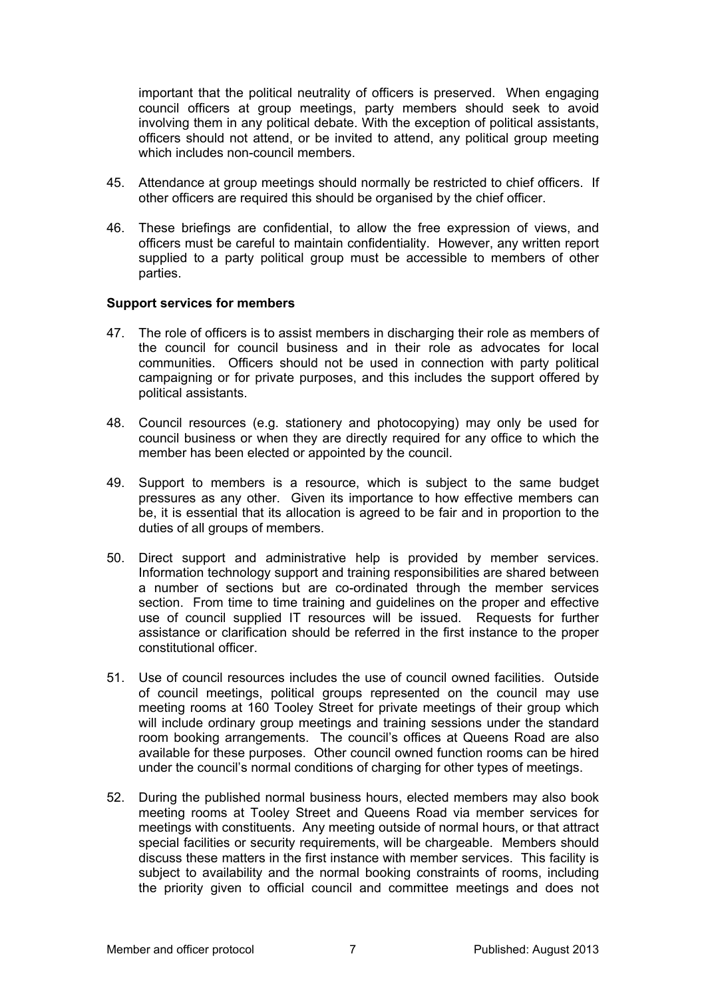important that the political neutrality of officers is preserved. When engaging council officers at group meetings, party members should seek to avoid involving them in any political debate. With the exception of political assistants, officers should not attend, or be invited to attend, any political group meeting which includes non-council members.

- 45. Attendance at group meetings should normally be restricted to chief officers. If other officers are required this should be organised by the chief officer.
- 46. These briefings are confidential, to allow the free expression of views, and officers must be careful to maintain confidentiality. However, any written report supplied to a party political group must be accessible to members of other parties.

#### **Support services for members**

- 47. The role of officers is to assist members in discharging their role as members of the council for council business and in their role as advocates for local communities. Officers should not be used in connection with party political campaigning or for private purposes, and this includes the support offered by political assistants.
- 48. Council resources (e.g. stationery and photocopying) may only be used for council business or when they are directly required for any office to which the member has been elected or appointed by the council.
- 49. Support to members is a resource, which is subject to the same budget pressures as any other. Given its importance to how effective members can be, it is essential that its allocation is agreed to be fair and in proportion to the duties of all groups of members.
- 50. Direct support and administrative help is provided by member services. Information technology support and training responsibilities are shared between a number of sections but are co-ordinated through the member services section. From time to time training and guidelines on the proper and effective use of council supplied IT resources will be issued. Requests for further assistance or clarification should be referred in the first instance to the proper constitutional officer.
- 51. Use of council resources includes the use of council owned facilities. Outside of council meetings, political groups represented on the council may use meeting rooms at 160 Tooley Street for private meetings of their group which will include ordinary group meetings and training sessions under the standard room booking arrangements. The council's offices at Queens Road are also available for these purposes. Other council owned function rooms can be hired under the council's normal conditions of charging for other types of meetings.
- 52. During the published normal business hours, elected members may also book meeting rooms at Tooley Street and Queens Road via member services for meetings with constituents. Any meeting outside of normal hours, or that attract special facilities or security requirements, will be chargeable. Members should discuss these matters in the first instance with member services. This facility is subject to availability and the normal booking constraints of rooms, including the priority given to official council and committee meetings and does not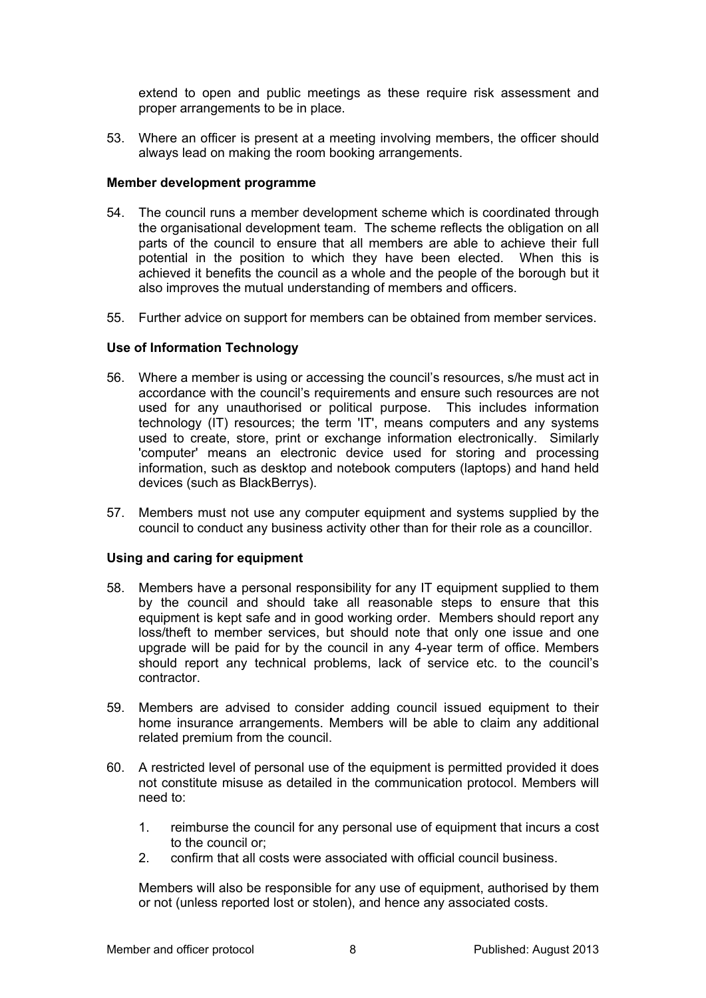extend to open and public meetings as these require risk assessment and proper arrangements to be in place.

53. Where an officer is present at a meeting involving members, the officer should always lead on making the room booking arrangements.

#### **Member development programme**

- 54. The council runs a member development scheme which is coordinated through the organisational development team. The scheme reflects the obligation on all parts of the council to ensure that all members are able to achieve their full potential in the position to which they have been elected. When this is achieved it benefits the council as a whole and the people of the borough but it also improves the mutual understanding of members and officers.
- 55. Further advice on support for members can be obtained from member services.

## **Use of Information Technology**

- 56. Where a member is using or accessing the council's resources, s/he must act in accordance with the council's requirements and ensure such resources are not used for any unauthorised or political purpose. This includes information technology (IT) resources; the term 'IT', means computers and any systems used to create, store, print or exchange information electronically. Similarly 'computer' means an electronic device used for storing and processing information, such as desktop and notebook computers (laptops) and hand held devices (such as BlackBerrys).
- 57. Members must not use any computer equipment and systems supplied by the council to conduct any business activity other than for their role as a councillor.

#### **Using and caring for equipment**

- 58. Members have a personal responsibility for any IT equipment supplied to them by the council and should take all reasonable steps to ensure that this equipment is kept safe and in good working order. Members should report any loss/theft to member services, but should note that only one issue and one upgrade will be paid for by the council in any 4-year term of office. Members should report any technical problems, lack of service etc. to the council's contractor.
- 59. Members are advised to consider adding council issued equipment to their home insurance arrangements. Members will be able to claim any additional related premium from the council.
- 60. A restricted level of personal use of the equipment is permitted provided it does not constitute misuse as detailed in the communication protocol. Members will need to:
	- 1. reimburse the council for any personal use of equipment that incurs a cost to the council or;
	- 2. confirm that all costs were associated with official council business.

Members will also be responsible for any use of equipment, authorised by them or not (unless reported lost or stolen), and hence any associated costs.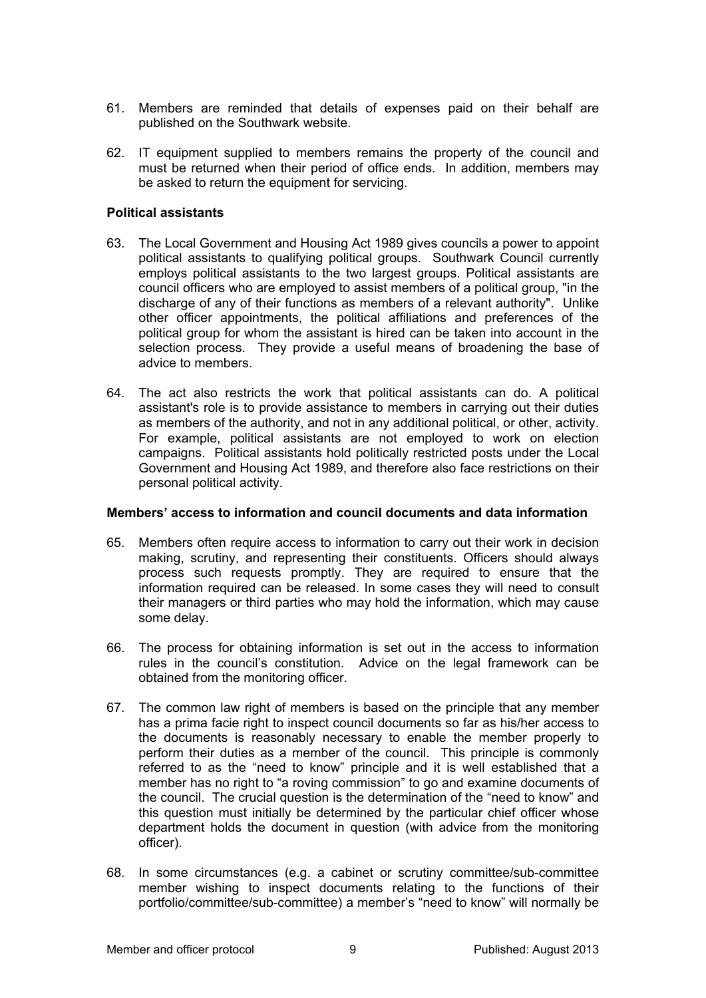- 61. Members are reminded that details of expenses paid on their behalf are published on the Southwark website.
- 62. IT equipment supplied to members remains the property of the council and must be returned when their period of office ends. In addition, members may be asked to return the equipment for servicing.

#### **Political assistants**

- 63. The Local Government and Housing Act 1989 gives councils a power to appoint political assistants to qualifying political groups. Southwark Council currently employs political assistants to the two largest groups. Political assistants are council officers who are employed to assist members of a political group, "in the discharge of any of their functions as members of a relevant authority". Unlike other officer appointments, the political affiliations and preferences of the political group for whom the assistant is hired can be taken into account in the selection process. They provide a useful means of broadening the base of advice to members.
- 64. The act also restricts the work that political assistants can do. A political assistant's role is to provide assistance to members in carrying out their duties as members of the authority, and not in any additional political, or other, activity. For example, political assistants are not employed to work on election campaigns. Political assistants hold politically restricted posts under the Local Government and Housing Act 1989, and therefore also face restrictions on their personal political activity.

#### **Members' access to information and council documents and data information**

- 65. Members often require access to information to carry out their work in decision making, scrutiny, and representing their constituents. Officers should always process such requests promptly. They are required to ensure that the information required can be released. In some cases they will need to consult their managers or third parties who may hold the information, which may cause some delay.
- 66. The process for obtaining information is set out in the access to information rules in the council's constitution. Advice on the legal framework can be obtained from the monitoring officer.
- 67. The common law right of members is based on the principle that any member has a prima facie right to inspect council documents so far as his/her access to the documents is reasonably necessary to enable the member properly to perform their duties as a member of the council. This principle is commonly referred to as the "need to know" principle and it is well established that a member has no right to "a roving commission" to go and examine documents of the council. The crucial question is the determination of the "need to know" and this question must initially be determined by the particular chief officer whose department holds the document in question (with advice from the monitoring officer).
- 68. In some circumstances (e.g. a cabinet or scrutiny committee/sub-committee member wishing to inspect documents relating to the functions of their portfolio/committee/sub-committee) a member's "need to know" will normally be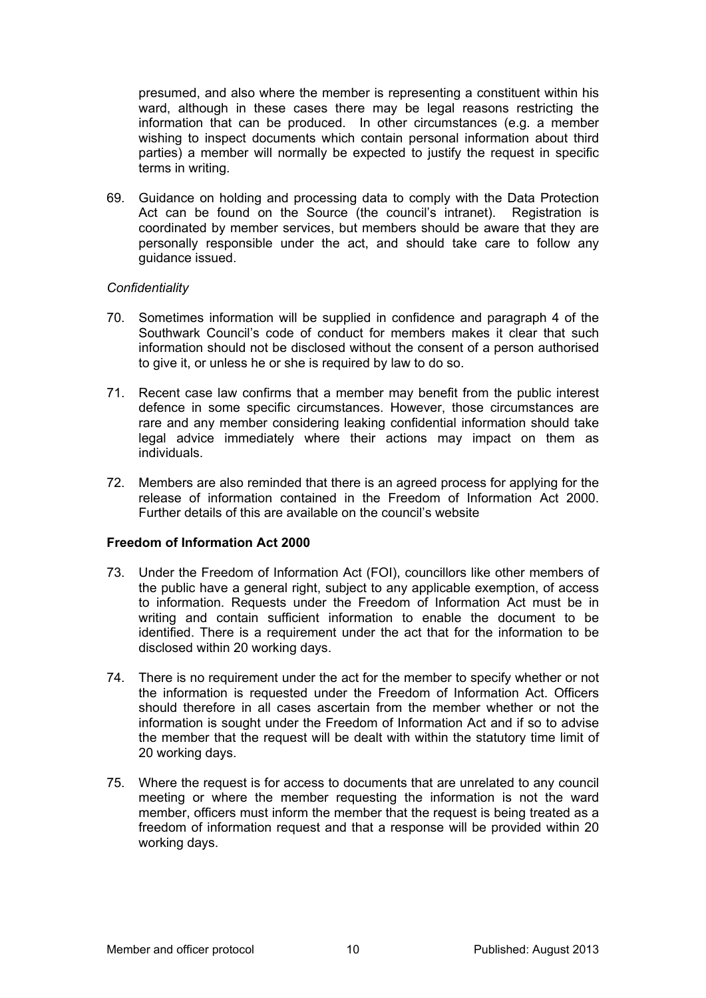presumed, and also where the member is representing a constituent within his ward, although in these cases there may be legal reasons restricting the information that can be produced. In other circumstances (e.g. a member wishing to inspect documents which contain personal information about third parties) a member will normally be expected to justify the request in specific terms in writing.

69. Guidance on holding and processing data to comply with the Data Protection Act can be found on the Source (the council's intranet). Registration is coordinated by member services, but members should be aware that they are personally responsible under the act, and should take care to follow any guidance issued.

# *Confidentiality*

- 70. Sometimes information will be supplied in confidence and paragraph 4 of the Southwark Council's code of conduct for members makes it clear that such information should not be disclosed without the consent of a person authorised to give it, or unless he or she is required by law to do so.
- 71. Recent case law confirms that a member may benefit from the public interest defence in some specific circumstances. However, those circumstances are rare and any member considering leaking confidential information should take legal advice immediately where their actions may impact on them as individuals.
- 72. Members are also reminded that there is an agreed process for applying for the release of information contained in the Freedom of Information Act 2000. Further details of this are available on the council's website

# **Freedom of Information Act 2000**

- 73. Under the Freedom of Information Act (FOI), councillors like other members of the public have a general right, subject to any applicable exemption, of access to information. Requests under the Freedom of Information Act must be in writing and contain sufficient information to enable the document to be identified. There is a requirement under the act that for the information to be disclosed within 20 working days.
- 74. There is no requirement under the act for the member to specify whether or not the information is requested under the Freedom of Information Act. Officers should therefore in all cases ascertain from the member whether or not the information is sought under the Freedom of Information Act and if so to advise the member that the request will be dealt with within the statutory time limit of 20 working days.
- 75. Where the request is for access to documents that are unrelated to any council meeting or where the member requesting the information is not the ward member, officers must inform the member that the request is being treated as a freedom of information request and that a response will be provided within 20 working days.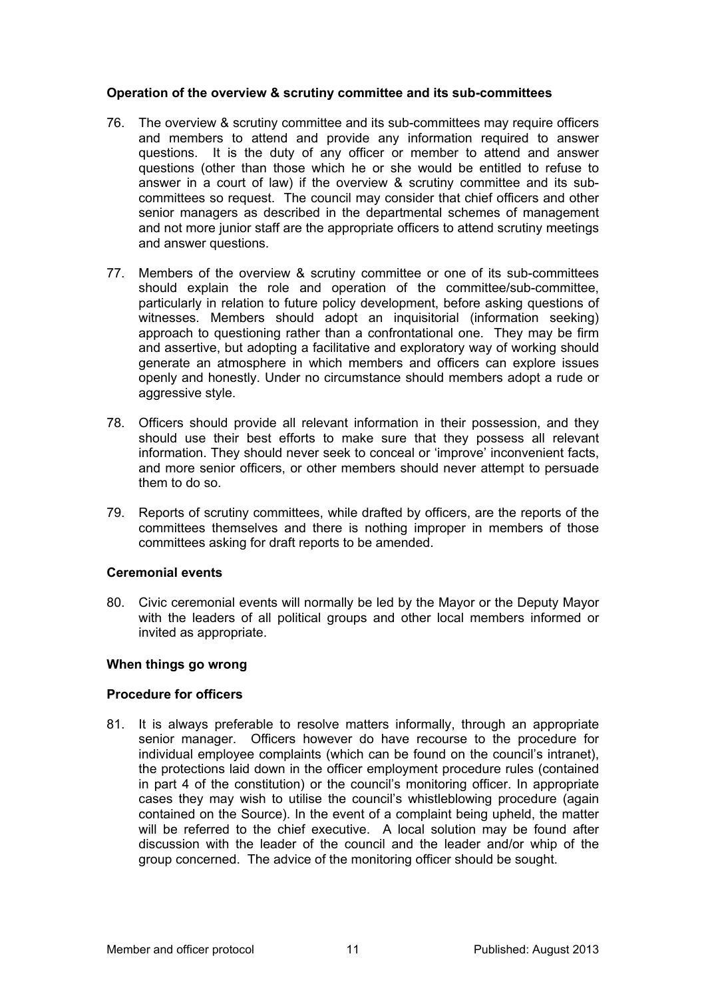## **Operation of the overview & scrutiny committee and its sub-committees**

- 76. The overview & scrutiny committee and its sub-committees may require officers and members to attend and provide any information required to answer questions. It is the duty of any officer or member to attend and answer questions (other than those which he or she would be entitled to refuse to answer in a court of law) if the overview & scrutiny committee and its subcommittees so request. The council may consider that chief officers and other senior managers as described in the departmental schemes of management and not more junior staff are the appropriate officers to attend scrutiny meetings and answer questions.
- 77. Members of the overview & scrutiny committee or one of its sub-committees should explain the role and operation of the committee/sub-committee, particularly in relation to future policy development, before asking questions of witnesses. Members should adopt an inquisitorial (information seeking) approach to questioning rather than a confrontational one. They may be firm and assertive, but adopting a facilitative and exploratory way of working should generate an atmosphere in which members and officers can explore issues openly and honestly. Under no circumstance should members adopt a rude or aggressive style.
- 78. Officers should provide all relevant information in their possession, and they should use their best efforts to make sure that they possess all relevant information. They should never seek to conceal or 'improve' inconvenient facts, and more senior officers, or other members should never attempt to persuade them to do so.
- 79. Reports of scrutiny committees, while drafted by officers, are the reports of the committees themselves and there is nothing improper in members of those committees asking for draft reports to be amended.

# **Ceremonial events**

80. Civic ceremonial events will normally be led by the Mayor or the Deputy Mayor with the leaders of all political groups and other local members informed or invited as appropriate.

# **When things go wrong**

# **Procedure for officers**

81. It is always preferable to resolve matters informally, through an appropriate senior manager. Officers however do have recourse to the procedure for individual employee complaints (which can be found on the council's intranet), the protections laid down in the officer employment procedure rules (contained in part 4 of the constitution) or the council's monitoring officer. In appropriate cases they may wish to utilise the council's whistleblowing procedure (again contained on the Source). In the event of a complaint being upheld, the matter will be referred to the chief executive. A local solution may be found after discussion with the leader of the council and the leader and/or whip of the group concerned. The advice of the monitoring officer should be sought.